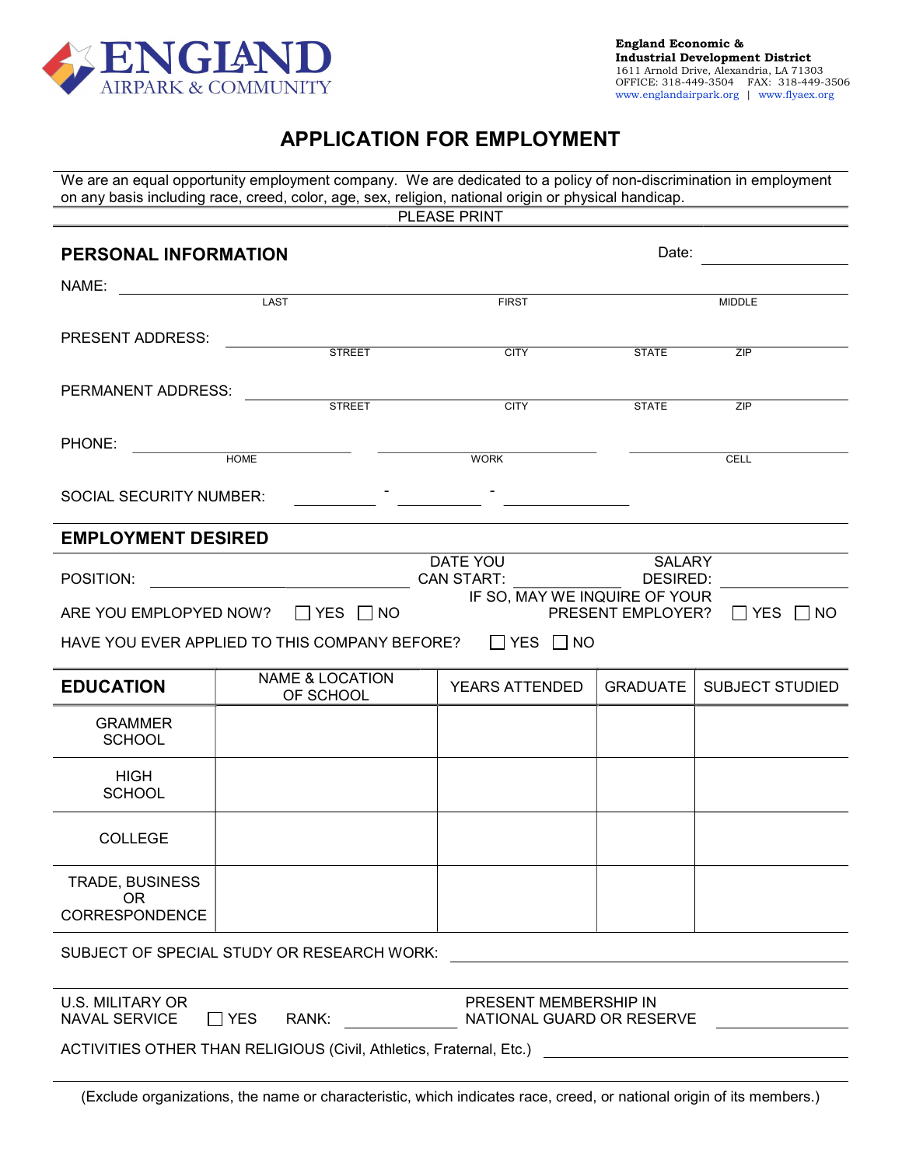

# APPLICATION FOR EMPLOYMENT

We are an equal opportunity employment company. We are dedicated to a policy of non-discrimination in employment on any basis including race, creed, color, age, sex, religion, national origin or physical handicap. PLEASE PRINT **PERSONAL INFORMATION Date: Date: Date: Date: Date:** NAME: \_\_ LAST MIDDLE NEXT FIRST THE MIDDLE PRESENT ADDRESS: STREET CITY STATE ZIP PERMANENT ADDRESS: STREET CITY STATE ZIP PHONE: HOME WORK CELL SOCIAL SECURITY NUMBER: EMPLOYMENT DESIRED POSITION: DATE YOU CAN START: SALARY DESIRED: ARE YOU EMPLOPYED NOW?  $\Box$  YES  $\Box$  NO IF SO, MAY WE INQUIRE OF YOUR PRESENT EMPLOYER?  $\Box$  YES  $\Box$  NO HAVE YOU EVER APPLIED TO THIS COMPANY BEFORE?  $\Box$  YES  $\Box$  NO EDUCATION NAME & LOCATION YEARS ATTENDED GRADUATE SUBJECT STUDIED GRAMMER **SCHOOL** 

SUBJECT OF SPECIAL STUDY OR RESEARCH WORK:

U.S. MILITARY OR  $NAVAL$  SERVICE  $\qquad \qquad \Box YES$  RANK:

HIGH **SCHOOL** 

COLLEGE

TRADE, BUSINESS OR CORRESPONDENCE

PRESENT MEMBERSHIP IN NATIONAL GUARD OR RESERVE

ACTIVITIES OTHER THAN RELIGIOUS (Civil, Athletics, Fraternal, Etc.)

(Exclude organizations, the name or characteristic, which indicates race, creed, or national origin of its members.)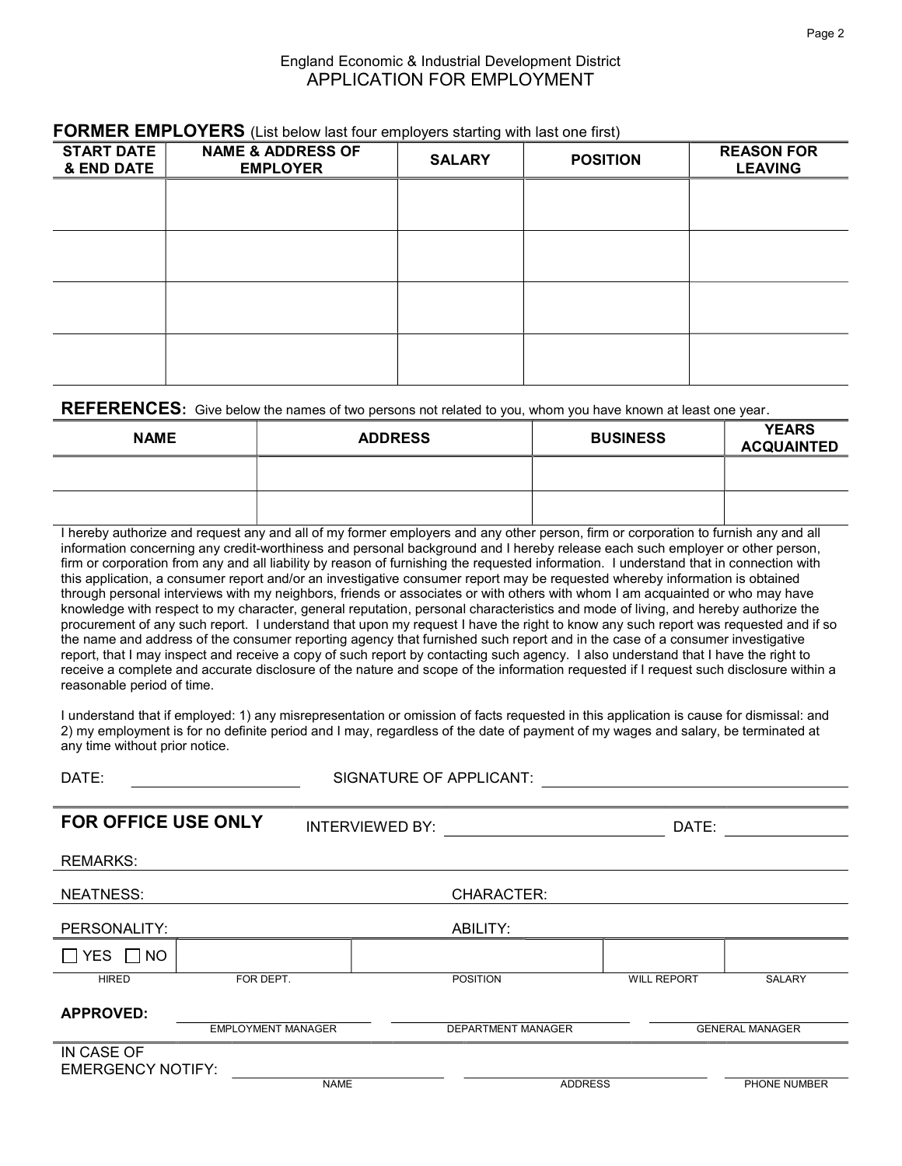#### England Economic & Industrial Development District APPLICATION FOR EMPLOYMENT

| <b>START DATE</b><br>& END DATE | <b>NAME &amp; ADDRESS OF</b><br><b>EMPLOYER</b> | <b>SALARY</b> | <b>POSITION</b> | <b>REASON FOR</b><br><b>LEAVING</b> |  |  |  |  |
|---------------------------------|-------------------------------------------------|---------------|-----------------|-------------------------------------|--|--|--|--|
|                                 |                                                 |               |                 |                                     |  |  |  |  |
|                                 |                                                 |               |                 |                                     |  |  |  |  |
|                                 |                                                 |               |                 |                                     |  |  |  |  |
|                                 |                                                 |               |                 |                                     |  |  |  |  |
|                                 |                                                 |               |                 |                                     |  |  |  |  |

### FORMER EMPLOYERS (List below last four employers starting with last one first)

#### REFERENCES: Give below the names of two persons not related to you, whom you have known at least one year.

| <b>NAME</b> | <b>ADDRESS</b> | <b>BUSINESS</b> | <b>YEARS</b><br><b>ACQUAINTED</b> |
|-------------|----------------|-----------------|-----------------------------------|
|             |                |                 |                                   |
|             |                |                 |                                   |

I hereby authorize and request any and all of my former employers and any other person, firm or corporation to furnish any and all information concerning any credit-worthiness and personal background and I hereby release each such employer or other person, firm or corporation from any and all liability by reason of furnishing the requested information. I understand that in connection with this application, a consumer report and/or an investigative consumer report may be requested whereby information is obtained through personal interviews with my neighbors, friends or associates or with others with whom I am acquainted or who may have knowledge with respect to my character, general reputation, personal characteristics and mode of living, and hereby authorize the procurement of any such report. I understand that upon my request I have the right to know any such report was requested and if so the name and address of the consumer reporting agency that furnished such report and in the case of a consumer investigative report, that I may inspect and receive a copy of such report by contacting such agency. I also understand that I have the right to receive a complete and accurate disclosure of the nature and scope of the information requested if I request such disclosure within a reasonable period of time.

I understand that if employed: 1) any misrepresentation or omission of facts requested in this application is cause for dismissal: and 2) my employment is for no definite period and I may, regardless of the date of payment of my wages and salary, be terminated at any time without prior notice.

| DATE:                      | <b>SIGNATURE OF APPLICANT:</b> |                        |                    |                    |                        |
|----------------------------|--------------------------------|------------------------|--------------------|--------------------|------------------------|
|                            |                                |                        |                    |                    |                        |
| <b>FOR OFFICE USE ONLY</b> |                                | <b>INTERVIEWED BY:</b> |                    | DATE:              |                        |
| <b>REMARKS:</b>            |                                |                        |                    |                    |                        |
| NEATNESS:                  |                                |                        | CHARACTER:         |                    |                        |
| PERSONALITY:               |                                |                        | ABILITY:           |                    |                        |
| $\Box$ YES $\Box$ NO       |                                |                        |                    |                    |                        |
| <b>HIRED</b>               | FOR DEPT.                      |                        | <b>POSITION</b>    | <b>WILL REPORT</b> | SALARY                 |
| <b>APPROVED:</b>           |                                |                        |                    |                    |                        |
|                            | <b>EMPLOYMENT MANAGER</b>      |                        | DEPARTMENT MANAGER |                    | <b>GENERAL MANAGER</b> |
| IN CASE OF                 |                                |                        |                    |                    |                        |
| <b>EMERGENCY NOTIFY:</b>   |                                |                        |                    |                    |                        |
|                            |                                | <b>NAME</b>            | <b>ADDRESS</b>     |                    | PHONE NUMBER           |